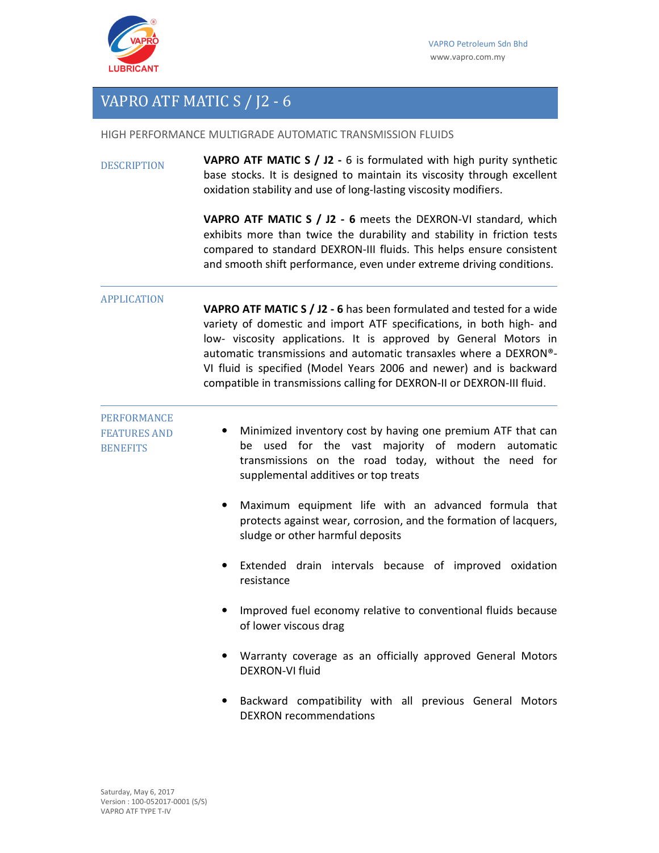

## VAPRO ATF MATIC S / J2 - 6

HIGH PERFORMANCE MULTIGRADE AUTOMATIC TRANSMISSION FLUIDS

DESCRIPTION **VAPRO ATF MATIC S / J2 -** 6 is formulated with high purity synthetic base stocks. It is designed to maintain its viscosity through excellent oxidation stability and use of long-lasting viscosity modifiers.

> **VAPRO ATF MATIC S / J2 - 6** meets the DEXRON-VI standard, which exhibits more than twice the durability and stability in friction tests compared to standard DEXRON-III fluids. This helps ensure consistent and smooth shift performance, even under extreme driving conditions.

## APPLICATION

**VAPRO ATF MATIC S / J2 - 6** has been formulated and tested for a wide variety of domestic and import ATF specifications, in both high- and low- viscosity applications. It is approved by General Motors in automatic transmissions and automatic transaxles where a DEXRON®- VI fluid is specified (Model Years 2006 and newer) and is backward compatible in transmissions calling for DEXRON-II or DEXRON-III fluid.

PERFORMANCE FEATURES AND

**BENEFITS** 

## • Minimized inventory cost by having one premium ATF that can be used for the vast majority of modern automatic transmissions on the road today, without the need for supplemental additives or top treats

- Maximum equipment life with an advanced formula that protects against wear, corrosion, and the formation of lacquers, sludge or other harmful deposits
- Extended drain intervals because of improved oxidation resistance
- Improved fuel economy relative to conventional fluids because of lower viscous drag
- Warranty coverage as an officially approved General Motors DEXRON-VI fluid
- Backward compatibility with all previous General Motors DEXRON recommendations